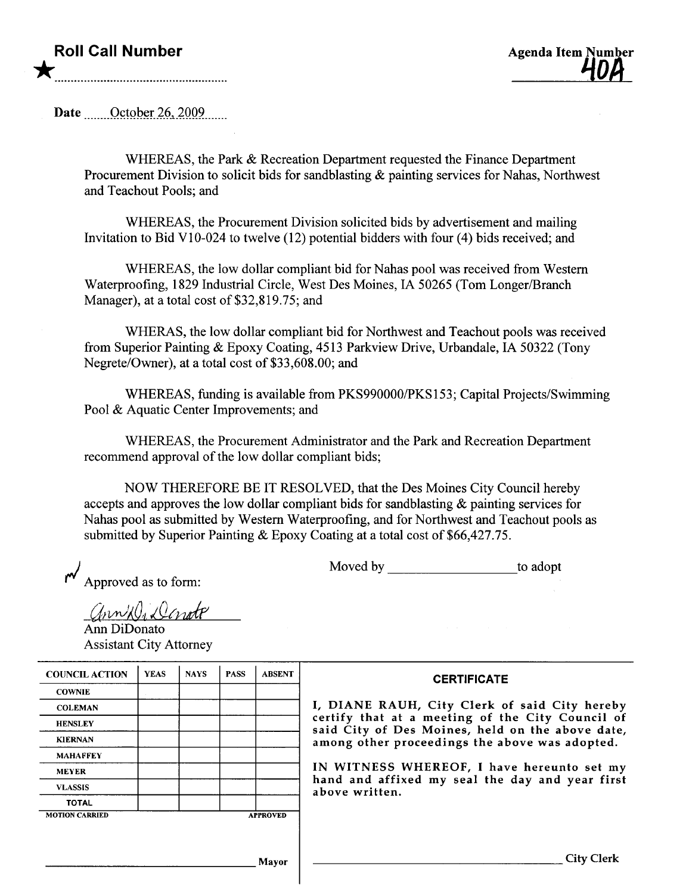## Roll Call Number \*

Date \_\_\_\_\_\_October 26, 2009

WHEREAS, the Park & Recreation Department requested the Finance Department Procurement Division to solicit bids for sandblasting & painting services for Nahas, Northwest and Teachout Pools; and

WHEREAS, the Procurement Division solicited bids by advertisement and mailing Invitation to Bid V10-024 to twelve (12) potential bidders with four (4) bids received; and

WHEREAS, the low dollar compliant bid for Nahas pool was received from Western Waterproofing, 1829 Industrial Circle, West Des Moines, IA 50265 (Tom Longer/Branch Manager), at a total cost of \$32,819.75; and

WHERAS, the low dollar compliant bid for Northwest and Teachout pools was received from Superior Painting & Epoxy Coating, 4513 Parkview Drive, Urbandale, IA 50322 (Tony Negrete/Owner), at a total cost of \$33,608.00; and

WHEREAS, fuding is available from PKS990000/PKS153; Capital Projects/Swimming Pool & Aquatic Center Improvements; and

WHEREAS, the Procurement Administrator and the Park and Recreation Deparment recommend approval of the low dollar compliant bids;

NOW THEREFORE BE IT RESOLVED, that the Des Moines City Council hereby accepts and approves the low dollar compliant bids for sadblasting & painting services for Nahas pool as submitted by Western Waterproofing, and for Northwest and Teachout pools as submitted by Superior Painting & Epoxy Coating at a total cost of \$66,427.75.

Approved as to form:

Moved by to adopt

ann Di Denote

Ann DiDonato Assistant City Attorney

| <b>COUNCIL ACTION</b> | <b>YEAS</b> | <b>NAYS</b> | <b>PASS</b> | <b>ABSENT</b>   |                            |
|-----------------------|-------------|-------------|-------------|-----------------|----------------------------|
| <b>COWNIE</b>         |             |             |             |                 |                            |
| <b>COLEMAN</b>        |             |             |             |                 | I, DIANE                   |
| <b>HENSLEY</b>        |             |             |             |                 | certify tha<br>said City o |
| <b>KIERNAN</b>        |             |             |             |                 | among othe                 |
| <b>MAHAFFEY</b>       |             |             |             |                 |                            |
| <b>MEYER</b>          |             |             |             |                 | IN WITNE                   |
| <b>VLASSIS</b>        |             |             |             |                 | hand and<br>above writt    |
| <b>TOTAL</b>          |             |             |             |                 |                            |
| <b>MOTION CARRIED</b> |             |             |             | <b>APPROVED</b> |                            |

## **CERTIFICATE**

RAUH, City Clerk of said City hereby t at a meeting of the City Council of of Des Moines, held on the above date, er proceedings the above was adopted.

SS WHEREOF, I have hereunto set my affixed my seal the day and year first ten.